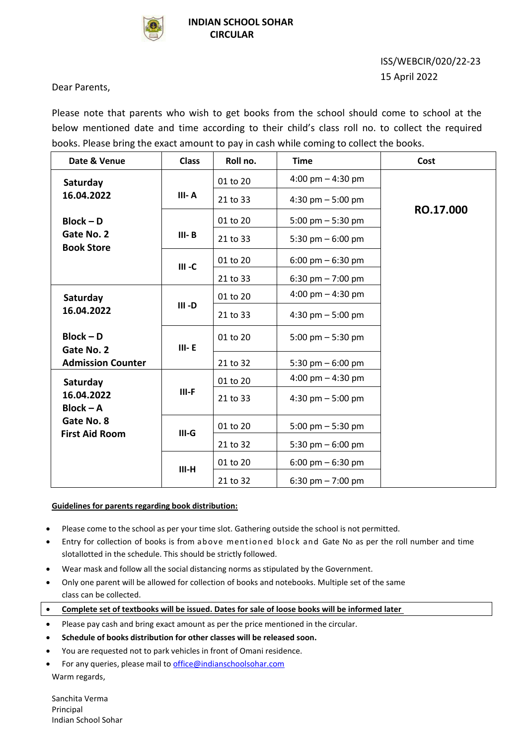

## ISS/WEBCIR/020/22-23 15 April 2022

Dear Parents,

Please note that parents who wish to get books from the school should come to school at the below mentioned date and time according to their child's class roll no. to collect the required books. Please bring the exact amount to pay in cash while coming to collect the books.

| Date & Venue                    | <b>Class</b> | Roll no. | <b>Time</b>                         | Cost      |
|---------------------------------|--------------|----------|-------------------------------------|-----------|
| Saturday                        |              | 01 to 20 | 4:00 pm $-$ 4:30 pm                 |           |
| 16.04.2022                      | III-A        | 21 to 33 | 4:30 pm $-$ 5:00 pm                 | RO.17.000 |
| $Block - D$                     |              | 01 to 20 | 5:00 pm $-$ 5:30 pm                 |           |
| Gate No. 2<br><b>Book Store</b> | $III - B$    | 21 to 33 | 5:30 pm $-$ 6:00 pm                 |           |
|                                 | $III - C$    | 01 to 20 | $6:00 \text{ pm} - 6:30 \text{ pm}$ |           |
|                                 |              | 21 to 33 | 6:30 pm $- 7:00$ pm                 |           |
| Saturday<br>16.04.2022          | $III - D$    | 01 to 20 | 4:00 pm $-$ 4:30 pm                 |           |
|                                 |              | 21 to 33 | 4:30 pm $-$ 5:00 pm                 |           |
| $Block - D$<br>Gate No. 2       | $III - E$    | 01 to 20 | 5:00 pm $-$ 5:30 pm                 |           |
| <b>Admission Counter</b>        |              | 21 to 32 | 5:30 pm $-$ 6:00 pm                 |           |
| Saturday                        | $III-F$      | 01 to 20 | 4:00 pm $-$ 4:30 pm                 |           |
| 16.04.2022<br>$Block - A$       |              | 21 to 33 | 4:30 pm $-$ 5:00 pm                 |           |
| Gate No. 8                      | $III-G$      | 01 to 20 | 5:00 pm $-$ 5:30 pm                 |           |
| <b>First Aid Room</b>           |              | 21 to 32 | 5:30 pm $-$ 6:00 pm                 |           |
|                                 | $III-H$      | 01 to 20 | $6:00 \text{ pm} - 6:30 \text{ pm}$ |           |
|                                 |              | 21 to 32 | 6:30 pm $- 7:00$ pm                 |           |

## **Guidelines for parents regarding book distribution:**

- Please come to the school as per your time slot. Gathering outside the school is not permitted.
- Entry for collection of books is from above mentioned block and Gate No as per the roll number and time slotallotted in the schedule. This should be strictly followed.
- Wear mask and follow all the social distancing norms as stipulated by the Government.
- Only one parent will be allowed for collection of books and notebooks. Multiple set of the same class can be collected.
- **Complete set of textbooks will be issued. Dates for sale of loose books will be informed later**
- Please pay cash and bring exact amount as per the price mentioned in the circular.
- **Schedule of books distribution for other classes will be released soon.**
- You are requested not to park vehicles in front of Omani residence.
- For any queries, please mail to [office@indianschoolsohar.com](mailto:office@indianschoolsohar.com) Warm regards,